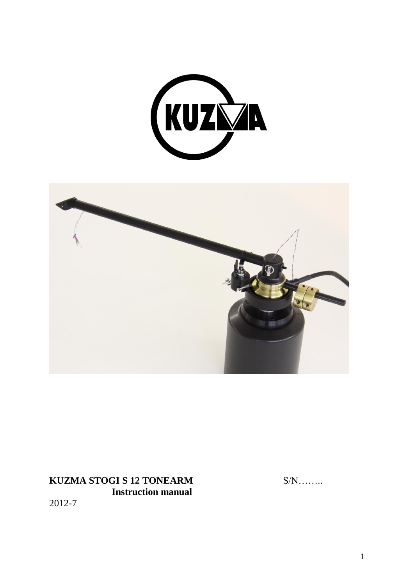



**KUZMA STOGI S 12 TONEARM** S/N…….. **Instruction manual** 2012-7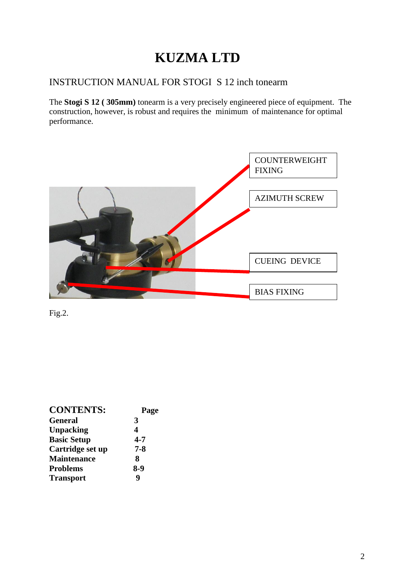# **KUZMA LTD**

# INSTRUCTION MANUAL FOR STOGI S 12 inch tonearm

The **Stogi S 12 ( 305mm)** tonearm is a very precisely engineered piece of equipment. The construction, however, is robust and requires the minimum of maintenance for optimal performance.



Fig.2.

| <b>CONTENTS:</b>   | Page    |
|--------------------|---------|
| <b>General</b>     | 3       |
| <b>Unpacking</b>   | 4       |
| <b>Basic Setup</b> | $4 - 7$ |
| Cartridge set up   | $7 - 8$ |
| <b>Maintenance</b> | 8       |
| <b>Problems</b>    | 8-9     |
| <b>Transport</b>   | q       |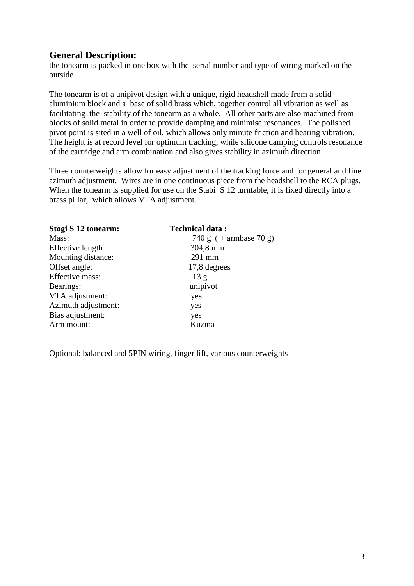# **General Description:**

the tonearm is packed in one box with the serial number and type of wiring marked on the outside

The tonearm is of a unipivot design with a unique, rigid headshell made from a solid aluminium block and a base of solid brass which, together control all vibration as well as facilitating the stability of the tonearm as a whole. All other parts are also machined from blocks of solid metal in order to provide damping and minimise resonances. The polished pivot point is sited in a well of oil, which allows only minute friction and bearing vibration. The height is at record level for optimum tracking, while silicone damping controls resonance of the cartridge and arm combination and also gives stability in azimuth direction.

Three counterweights allow for easy adjustment of the tracking force and for general and fine azimuth adjustment. Wires are in one continuous piece from the headshell to the RCA plugs. When the tonearm is supplied for use on the Stabi S 12 turntable, it is fixed directly into a brass pillar, which allows VTA adjustment.

| <b>Technical data:</b>   |
|--------------------------|
| 740 g $(+$ armbase 70 g) |
| 304,8 mm                 |
| 291 mm                   |
| 17,8 degrees             |
| 13 <sub>g</sub>          |
| unipivot                 |
| yes                      |
| yes                      |
| yes                      |
| Kuzma                    |
|                          |

Optional: balanced and 5PIN wiring, finger lift, various counterweights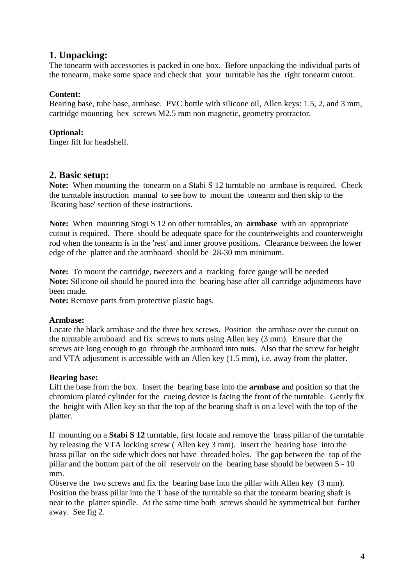# **1. Unpacking:**

The tonearm with accessories is packed in one box. Before unpacking the individual parts of the tonearm, make some space and check that your turntable has the right tonearm cutout.

# **Content:**

Bearing base, tube base, armbase. PVC bottle with silicone oil, Allen keys: 1.5, 2, and 3 mm, cartridge mounting hex screws M2.5 mm non magnetic, geometry protractor.

# **Optional:**

finger lift for headshell.

# **2. Basic setup:**

**Note:** When mounting the tonearm on a Stabi S 12 turntable no armbase is required. Check the turntable instruction manual to see how to mount the tonearm and then skip to the 'Bearing base' section of these instructions.

**Note:** When mounting Stogi S 12 on other turntables, an **armbase** with an appropriate cutout is required. There should be adequate space for the counterweights and counterweight rod when the tonearm is in the 'rest' and inner groove positions. Clearance between the lower edge of the platter and the armboard should be 28-30 mm minimum.

**Note:** To mount the cartridge, tweezers and a tracking force gauge will be needed **Note:** Silicone oil should be poured into the bearing base after all cartridge adjustments have been made.

**Note:** Remove parts from protective plastic bags.

# **Armbase:**

Locate the black armbase and the three hex screws. Position the armbase over the cutout on the turntable armboard and fix screws to nuts using Allen key (3 mm). Ensure that the screws are long enough to go through the armboard into nuts. Also that the screw for height and VTA adjustment is accessible with an Allen key (1.5 mm), i.e. away from the platter.

# **Bearing base:**

Lift the base from the box. Insert the bearing base into the **armbase** and position so that the chromium plated cylinder for the cueing device is facing the front of the turntable. Gently fix the height with Allen key so that the top of the bearing shaft is on a level with the top of the platter.

If mounting on a **Stabi S 12** turntable, first locate and remove the brass pillar of the turntable by releasing the VTA locking screw ( Allen key 3 mm). Insert the bearing base into the brass pillar on the side which does not have threaded holes. The gap between the top of the pillar and the bottom part of the oil reservoir on the bearing base should be between 5 - 10 mm.

Observe the two screws and fix the bearing base into the pillar with Allen key (3 mm). Position the brass pillar into the T base of the turntable so that the tonearm bearing shaft is near to the platter spindle. At the same time both screws should be symmetrical but further away. See fig 2.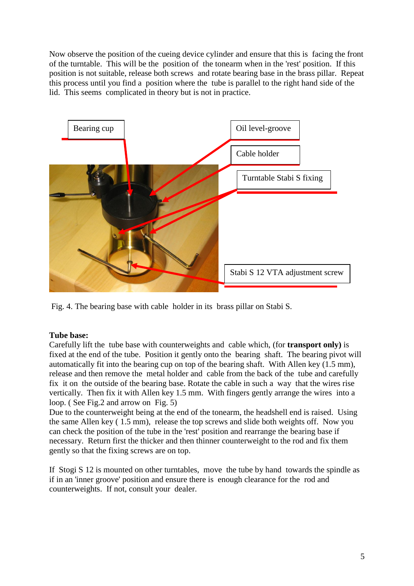Now observe the position of the cueing device cylinder and ensure that this is facing the front of the turntable. This will be the position of the tonearm when in the 'rest' position. If this position is not suitable, release both screws and rotate bearing base in the brass pillar. Repeat this process until you find a position where the tube is parallel to the right hand side of the lid. This seems complicated in theory but is not in practice.



Fig. 4. The bearing base with cable holder in its brass pillar on Stabi S.

# **Tube base:**

Carefully lift the tube base with counterweights and cable which, (for **transport only)** is fixed at the end of the tube. Position it gently onto the bearing shaft. The bearing pivot will automatically fit into the bearing cup on top of the bearing shaft. With Allen key (1.5 mm), release and then remove the metal holder and cable from the back of the tube and carefully fix it on the outside of the bearing base. Rotate the cable in such a way that the wires rise vertically. Then fix it with Allen key 1.5 mm. With fingers gently arrange the wires into a loop. (See Fig. 2 and arrow on Fig. 5)

Due to the counterweight being at the end of the tonearm, the headshell end is raised. Using the same Allen key ( 1.5 mm), release the top screws and slide both weights off. Now you can check the position of the tube in the 'rest' position and rearrange the bearing base if necessary. Return first the thicker and then thinner counterweight to the rod and fix them gently so that the fixing screws are on top.

If Stogi S 12 is mounted on other turntables, move the tube by hand towards the spindle as if in an 'inner groove' position and ensure there is enough clearance for the rod and counterweights. If not, consult your dealer.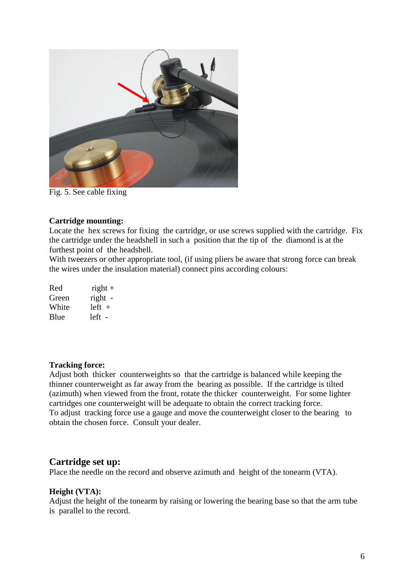

Fig. 5. See cable fixing

#### **Cartridge mounting:**

Locate the hex screws for fixing the cartridge, or use screws supplied with the cartridge. Fix the cartridge under the headshell in such a position that the tip of the diamond is at the furthest point of the headshell.

With tweezers or other appropriate tool, (if using pliers be aware that strong force can break the wires under the insulation material) connect pins according colours:

| Red   | $right +$ |
|-------|-----------|
| Green | right -   |
| White | $left +$  |
| Blue  | left -    |

#### **Tracking force:**

Adjust both thicker counterweights so that the cartridge is balanced while keeping the thinner counterweight as far away from the bearing as possible. If the cartridge is tilted (azimuth) when viewed from the front, rotate the thicker counterweight. For some lighter cartridges one counterweight will be adequate to obtain the correct tracking force. To adjust tracking force use a gauge and move the counterweight closer to the bearing to obtain the chosen force. Consult your dealer.

## **Cartridge set up:**

Place the needle on the record and observe azimuth and height of the tonearm (VTA).

## **Height (VTA):**

Adjust the height of the tonearm by raising or lowering the bearing base so that the arm tube is parallel to the record.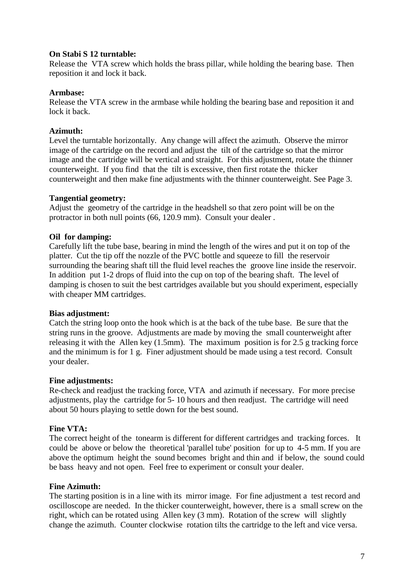## **On Stabi S 12 turntable:**

Release the VTA screw which holds the brass pillar, while holding the bearing base. Then reposition it and lock it back.

## **Armbase:**

Release the VTA screw in the armbase while holding the bearing base and reposition it and lock it back.

## **Azimuth:**

Level the turntable horizontally. Any change will affect the azimuth. Observe the mirror image of the cartridge on the record and adjust the tilt of the cartridge so that the mirror image and the cartridge will be vertical and straight. For this adjustment, rotate the thinner counterweight. If you find that the tilt is excessive, then first rotate the thicker counterweight and then make fine adjustments with the thinner counterweight. See Page 3.

## **Tangential geometry:**

Adjust the geometry of the cartridge in the headshell so that zero point will be on the protractor in both null points (66, 120.9 mm). Consult your dealer .

# **Oil for damping:**

Carefully lift the tube base, bearing in mind the length of the wires and put it on top of the platter. Cut the tip off the nozzle of the PVC bottle and squeeze to fill the reservoir surrounding the bearing shaft till the fluid level reaches the groove line inside the reservoir. In addition put 1-2 drops of fluid into the cup on top of the bearing shaft. The level of damping is chosen to suit the best cartridges available but you should experiment, especially with cheaper MM cartridges.

## **Bias adjustment:**

Catch the string loop onto the hook which is at the back of the tube base. Be sure that the string runs in the groove. Adjustments are made by moving the small counterweight after releasing it with the Allen key (1.5mm). The maximum position is for 2.5 g tracking force and the minimum is for 1 g. Finer adjustment should be made using a test record. Consult your dealer.

## **Fine adjustments:**

Re-check and readjust the tracking force, VTA and azimuth if necessary. For more precise adjustments, play the cartridge for 5- 10 hours and then readjust. The cartridge will need about 50 hours playing to settle down for the best sound.

# **Fine VTA:**

The correct height of the tonearm is different for different cartridges and tracking forces. It could be above or below the theoretical 'parallel tube' position for up to 4-5 mm. If you are above the optimum height the sound becomes bright and thin and if below, the sound could be bass heavy and not open. Feel free to experiment or consult your dealer.

## **Fine Azimuth:**

The starting position is in a line with its mirror image. For fine adjustment a test record and oscilloscope are needed. In the thicker counterweight, however, there is a small screw on the right, which can be rotated using Allen key (3 mm). Rotation of the screw will slightly change the azimuth. Counter clockwise rotation tilts the cartridge to the left and vice versa.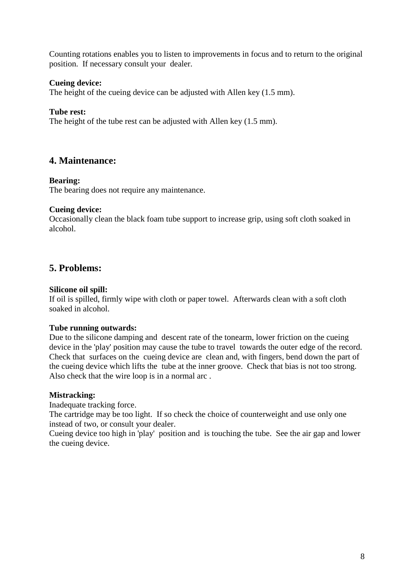Counting rotations enables you to listen to improvements in focus and to return to the original position. If necessary consult your dealer.

## **Cueing device:**

The height of the cueing device can be adjusted with Allen key (1.5 mm).

## **Tube rest:**

The height of the tube rest can be adjusted with Allen key  $(1.5 \text{ mm})$ .

# **4. Maintenance:**

#### **Bearing:**

The bearing does not require any maintenance.

#### **Cueing device:**

Occasionally clean the black foam tube support to increase grip, using soft cloth soaked in alcohol.

# **5. Problems:**

#### **Silicone oil spill:**

If oil is spilled, firmly wipe with cloth or paper towel. Afterwards clean with a soft cloth soaked in alcohol.

#### **Tube running outwards:**

Due to the silicone damping and descent rate of the tonearm, lower friction on the cueing device in the 'play' position may cause the tube to travel towards the outer edge of the record. Check that surfaces on the cueing device are clean and, with fingers, bend down the part of the cueing device which lifts the tube at the inner groove. Check that bias is not too strong. Also check that the wire loop is in a normal arc .

#### **Mistracking:**

Inadequate tracking force.

The cartridge may be too light. If so check the choice of counterweight and use only one instead of two, or consult your dealer.

Cueing device too high in 'play' position and is touching the tube. See the air gap and lower the cueing device.